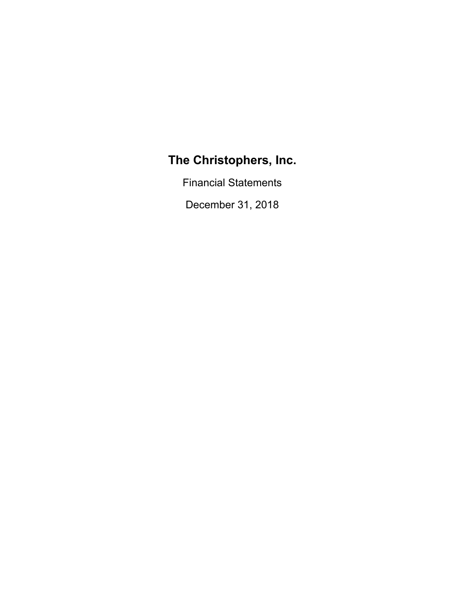Financial Statements

December 31, 2018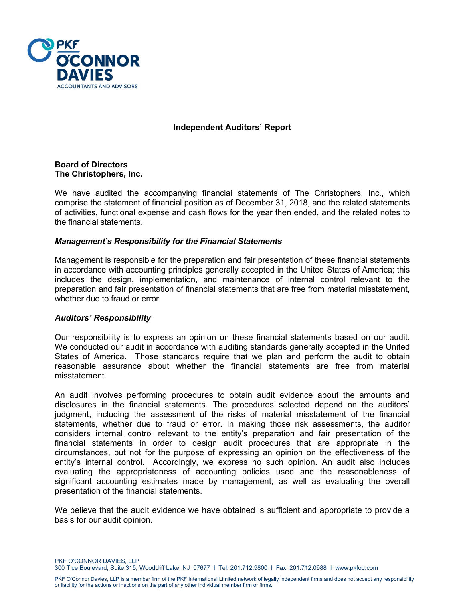

# **Independent Auditors' Report**

#### **Board of Directors The Christophers, Inc.**

We have audited the accompanying financial statements of The Christophers, Inc., which comprise the statement of financial position as of December 31, 2018, and the related statements of activities, functional expense and cash flows for the year then ended, and the related notes to the financial statements.

# *Management's Responsibility for the Financial Statements*

Management is responsible for the preparation and fair presentation of these financial statements in accordance with accounting principles generally accepted in the United States of America; this includes the design, implementation, and maintenance of internal control relevant to the preparation and fair presentation of financial statements that are free from material misstatement, whether due to fraud or error.

#### *Auditors' Responsibility*

Our responsibility is to express an opinion on these financial statements based on our audit. We conducted our audit in accordance with auditing standards generally accepted in the United States of America. Those standards require that we plan and perform the audit to obtain reasonable assurance about whether the financial statements are free from material misstatement.

An audit involves performing procedures to obtain audit evidence about the amounts and disclosures in the financial statements. The procedures selected depend on the auditors' judgment, including the assessment of the risks of material misstatement of the financial statements, whether due to fraud or error. In making those risk assessments, the auditor considers internal control relevant to the entity's preparation and fair presentation of the financial statements in order to design audit procedures that are appropriate in the circumstances, but not for the purpose of expressing an opinion on the effectiveness of the entity's internal control. Accordingly, we express no such opinion. An audit also includes evaluating the appropriateness of accounting policies used and the reasonableness of significant accounting estimates made by management, as well as evaluating the overall presentation of the financial statements.

We believe that the audit evidence we have obtained is sufficient and appropriate to provide a basis for our audit opinion.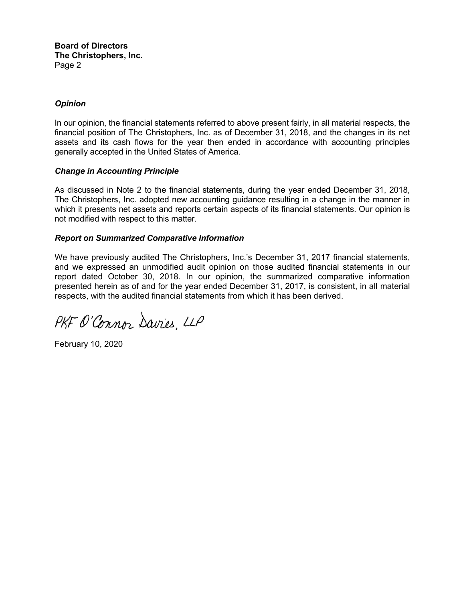# *Opinion*

In our opinion, the financial statements referred to above present fairly, in all material respects, the financial position of The Christophers, Inc. as of December 31, 2018, and the changes in its net assets and its cash flows for the year then ended in accordance with accounting principles generally accepted in the United States of America.

# *Change in Accounting Principle*

As discussed in Note 2 to the financial statements, during the year ended December 31, 2018, The Christophers, Inc. adopted new accounting guidance resulting in a change in the manner in which it presents net assets and reports certain aspects of its financial statements. Our opinion is not modified with respect to this matter.

# *Report on Summarized Comparative Information*

We have previously audited The Christophers, Inc.'s December 31, 2017 financial statements, and we expressed an unmodified audit opinion on those audited financial statements in our report dated October 30, 2018. In our opinion, the summarized comparative information presented herein as of and for the year ended December 31, 2017, is consistent, in all material respects, with the audited financial statements from which it has been derived.

PKF O'Connor Davies, LLP

February 10, 2020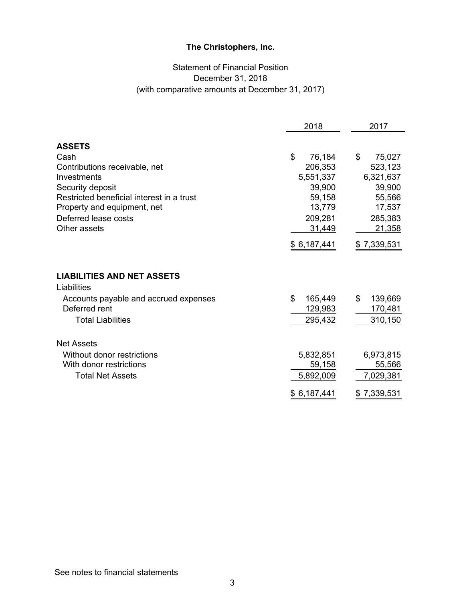# Statement of Financial Position December 31, 2018 (with comparative amounts at December 31, 2017)

|                                                  | 2018          | 2017            |
|--------------------------------------------------|---------------|-----------------|
| <b>ASSETS</b>                                    |               |                 |
| Cash                                             | \$<br>76,184  | \$<br>75,027    |
| Contributions receivable, net                    | 206,353       | 523,123         |
| Investments                                      | 5,551,337     | 6,321,637       |
| Security deposit                                 | 39,900        | 39,900          |
| Restricted beneficial interest in a trust        | 59,158        | 55,566          |
| Property and equipment, net                      | 13,779        | 17,537          |
| Deferred lease costs                             | 209,281       | 285,383         |
| Other assets                                     | 31,449        | 21,358          |
|                                                  | \$6,187,441   | \$7,339,531     |
| <b>LIABILITIES AND NET ASSETS</b><br>Liabilities |               |                 |
| Accounts payable and accrued expenses            | \$<br>165,449 | 139,669<br>\$   |
| Deferred rent                                    | 129,983       | 170,481         |
| <b>Total Liabilities</b>                         | 295,432       | 310,150         |
| <b>Net Assets</b>                                |               |                 |
| Without donor restrictions                       | 5,832,851     | 6,973,815       |
| With donor restrictions                          | 59,158        | 55,566          |
| <b>Total Net Assets</b>                          | 5,892,009     | 7,029,381       |
|                                                  | \$6,187,441   | 7,339,531<br>S. |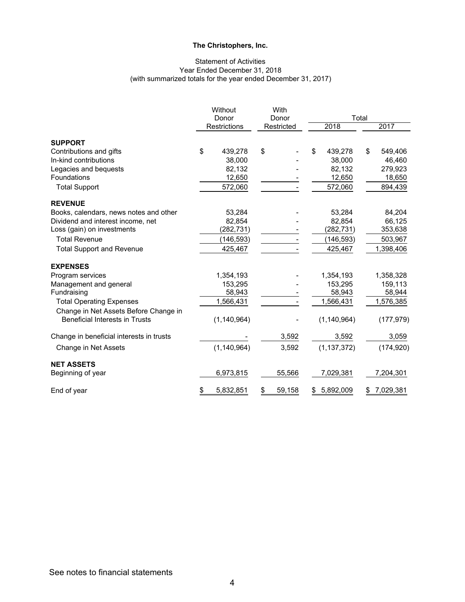#### Statement of Activities Year Ended December 31, 2018 (with summarized totals for the year ended December 31, 2017)

|                                          | Without<br>Donor |                     | With<br>Donor |            | Total |               |    |            |
|------------------------------------------|------------------|---------------------|---------------|------------|-------|---------------|----|------------|
|                                          |                  | <b>Restrictions</b> |               | Restricted |       | 2018          |    | 2017       |
| <b>SUPPORT</b>                           |                  |                     |               |            |       |               |    |            |
| Contributions and gifts                  | \$               | 439,278             | \$            |            | \$    | 439,278       | \$ | 549,406    |
| In-kind contributions                    |                  | 38,000              |               |            |       | 38,000        |    | 46,460     |
| Legacies and bequests                    |                  | 82,132              |               |            |       | 82,132        |    | 279,923    |
| Foundations                              |                  | 12,650              |               |            |       | 12,650        |    | 18,650     |
| <b>Total Support</b>                     |                  | 572,060             |               |            |       | 572,060       |    | 894,439    |
| <b>REVENUE</b>                           |                  |                     |               |            |       |               |    |            |
| Books, calendars, news notes and other   |                  | 53,284              |               |            |       | 53,284        |    | 84,204     |
| Dividend and interest income, net        |                  | 82,854              |               |            |       | 82,854        |    | 66,125     |
| Loss (gain) on investments               |                  | (282, 731)          |               |            |       | (282,731)     |    | 353,638    |
| <b>Total Revenue</b>                     |                  | (146, 593)          |               |            |       | (146, 593)    |    | 503,967    |
| <b>Total Support and Revenue</b>         |                  | 425,467             |               |            |       | 425,467       |    | 1,398,406  |
| <b>EXPENSES</b>                          |                  |                     |               |            |       |               |    |            |
| Program services                         |                  | 1,354,193           |               |            |       | 1,354,193     |    | 1,358,328  |
| Management and general                   |                  | 153,295             |               |            |       | 153,295       |    | 159,113    |
| Fundraising                              |                  | 58,943              |               |            |       | 58,943        |    | 58,944     |
| <b>Total Operating Expenses</b>          |                  | 1,566,431           |               |            |       | 1,566,431     |    | 1,576,385  |
| Change in Net Assets Before Change in    |                  |                     |               |            |       |               |    |            |
| <b>Beneficial Interests in Trusts</b>    |                  | (1, 140, 964)       |               |            |       | (1, 140, 964) |    | (177, 979) |
| Change in beneficial interests in trusts |                  |                     |               | 3,592      |       | 3,592         |    | 3,059      |
| Change in Net Assets                     |                  | (1, 140, 964)       |               | 3,592      |       | (1, 137, 372) |    | (174, 920) |
| <b>NET ASSETS</b>                        |                  |                     |               |            |       |               |    |            |
| Beginning of year                        |                  | 6,973,815           |               | 55,566     |       | 7,029,381     |    | 7,204,301  |
| End of year                              | \$               | 5,832,851           | \$            | 59,158     | \$    | 5,892,009     | \$ | 7,029,381  |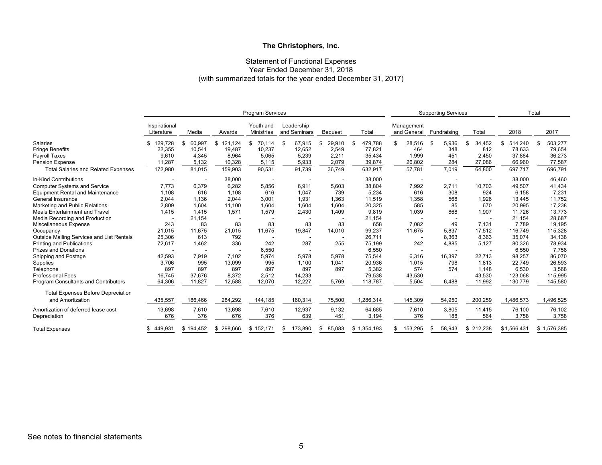#### Statement of Functional Expenses Year Ended December 31, 2018 (with summarized totals for the year ended December 31, 2017)

|                                                  | <b>Program Services</b>     |              |            |                                |                            |                |             | <b>Supporting Services</b> | Total        |             |               |               |
|--------------------------------------------------|-----------------------------|--------------|------------|--------------------------------|----------------------------|----------------|-------------|----------------------------|--------------|-------------|---------------|---------------|
|                                                  | Inspirational<br>Literature | Media        | Awards     | Youth and<br><b>Ministries</b> | Leadership<br>and Seminars | <b>Bequest</b> | Total       | Management<br>and General  | Fundraising  | Total       | 2018          | 2017          |
| <b>Salaries</b>                                  | 129,728<br>\$               | 60,997<br>\$ | \$121,124  | 70,114<br>\$                   | 67,915<br>\$               | 29,910<br>\$   | 479,788     | 28,516<br>$\mathfrak{L}$   | 5,936<br>-\$ | 34,452<br>£ | 514,240<br>\$ | 503,277<br>-9 |
| <b>Fringe Benefits</b>                           | 22,355                      | 10,541       | 19,487     | 10,237                         | 12,652                     | 2,549          | 77,821      | 464                        | 348          | 812         | 78,633        | 79,654        |
| Payroll Taxes                                    | 9.610                       | 4,345        | 8.964      | 5,065                          | 5,239                      | 2,211          | 35,434      | 1,999                      | 451          | 2,450       | 37,884        | 36,273        |
| Pension Expense                                  | 11.287                      | 5,132        | 10,328     | 5,115                          | 5,933                      | 2,079          | 39,874      | 26,802                     | 284          | 27,086      | 66,960        | 77,587        |
| <b>Total Salaries and Related Expenses</b>       | 172,980                     | 81,015       | 159,903    | 90,531                         | 91,739                     | 36,749         | 632,917     | 57,781                     | 7,019        | 64,800      | 697,717       | 696,791       |
| In-Kind Contributions                            |                             |              | 38,000     |                                |                            |                | 38,000      |                            |              |             | 38,000        | 46,460        |
| <b>Computer Systems and Service</b>              | 7,773                       | 6,379        | 6,282      | 5,856                          | 6,911                      | 5,603          | 38,804      | 7,992                      | 2,711        | 10,703      | 49,507        | 41,434        |
| <b>Equipment Rental and Maintenance</b>          | 1,108                       | 616          | 1,108      | 616                            | 1,047                      | 739            | 5,234       | 616                        | 308          | 924         | 6,158         | 7,231         |
| General Insurance                                | 2,044                       | 1.136        | 2,044      | 3,001                          | 1,931                      | 1,363          | 11,519      | 1,358                      | 568          | 1,926       | 13,445        | 11,752        |
| Marketing and Public Relations                   | 2,809                       | 1,604        | 11,100     | 1,604                          | 1,604                      | 1,604          | 20,325      | 585                        | 85           | 670         | 20,995        | 17,238        |
| <b>Meals Entertainment and Travel</b>            | 1,415                       | 1.415        | 1,571      | 1,579                          | 2,430                      | 1,409          | 9,819       | 1,039                      | 868          | 1.907       | 11.726        | 13,773        |
| Media Recording and Production                   |                             | 21,154       |            |                                |                            |                | 21,154      |                            |              |             | 21,154        | 28,687        |
| Miscellaneous Expense                            | 243                         | 83           | 83         | 83                             | 83                         | 83             | 658         | 7,082                      | 49           | 7,131       | 7,789         | 19,195        |
| Occupancy                                        | 21,015                      | 11,675       | 21,015     | 11,675                         | 19,847                     | 14,010         | 99,237      | 11,675                     | 5,837        | 17,512      | 116,749       | 115,328       |
| <b>Outside Mailing Services and List Rentals</b> | 25,306                      | 613          | 792        |                                |                            |                | 26,711      |                            | 8,363        | 8,363       | 35,074        | 34,138        |
| <b>Printing and Publications</b>                 | 72,617                      | 1,462        | 336        | 242                            | 287                        | 255            | 75,199      | 242                        | 4,885        | 5,127       | 80,326        | 78,934        |
| <b>Prizes and Donations</b>                      |                             |              |            | 6,550                          |                            |                | 6,550       |                            |              |             | 6,550         | 7,758         |
| Shipping and Postage                             | 42,593                      | 7,919        | 7.102      | 5,974                          | 5,978                      | 5,978          | 75,544      | 6,316                      | 16,397       | 22,713      | 98,257        | 86,070        |
| Supplies                                         | 3,706                       | 995          | 13,099     | 995                            | 1,100                      | 1,041          | 20,936      | 1,015                      | 798          | 1,813       | 22,749        | 26,593        |
| Telephone                                        | 897                         | 897          | 897        | 897                            | 897                        | 897            | 5,382       | 574                        | 574          | 1,148       | 6,530         | 3,568         |
| <b>Professional Fees</b>                         | 16,745                      | 37,676       | 8,372      | 2,512                          | 14,233                     |                | 79,538      | 43,530                     |              | 43,530      | 123,068       | 115,995       |
| Program Consultants and Contributors             | 64,306                      | 11,827       | 12,588     | 12,070                         | 12,227                     | 5,769          | 118,787     | 5,504                      | 6,488        | 11,992      | 130,779       | 145,580       |
| <b>Total Expenses Before Depreciation</b>        |                             |              |            |                                |                            |                |             |                            |              |             |               |               |
| and Amortization                                 | 435,557                     | 186,466      | 284,292    | 144,185                        | 160,314                    | 75,500         | 1,286,314   | 145,309                    | 54,950       | 200,259     | 1,486,573     | 1,496,525     |
| Amortization of deferred lease cost              | 13,698                      | 7,610        | 13,698     | 7,610                          | 12,937                     | 9,132          | 64,685      | 7,610                      | 3,805        | 11,415      | 76,100        | 76,102        |
| Depreciation                                     | 676                         | 376          | 676        | 376                            | 639                        | 451            | 3,194       | 376                        | 188          | 564         | 3,758         | 3,758         |
| <b>Total Expenses</b>                            | 449,931                     | \$194,452    | \$ 298,666 | \$152,171                      | 173,890<br>\$              | 85,083<br>\$   | \$1,354,193 | 153,295                    | 58,943       | \$212,238   | \$1,566,431   | \$1,576,385   |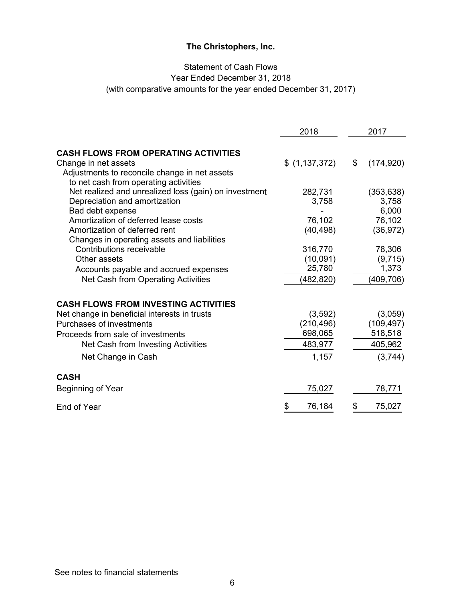# Statement of Cash Flows Year Ended December 31, 2018 (with comparative amounts for the year ended December 31, 2017)

|                                                          | 2018          | 2017             |
|----------------------------------------------------------|---------------|------------------|
|                                                          |               |                  |
| <b>CASH FLOWS FROM OPERATING ACTIVITIES</b>              |               |                  |
| Change in net assets                                     | \$(1,137,372) | \$<br>(174, 920) |
| Adjustments to reconcile change in net assets            |               |                  |
| to net cash from operating activities                    |               |                  |
| Net realized and unrealized loss (gain) on investment    | 282,731       | (353, 638)       |
| Depreciation and amortization                            | 3,758         | 3,758            |
| Bad debt expense<br>Amortization of deferred lease costs | 76,102        | 6,000<br>76,102  |
| Amortization of deferred rent                            | (40, 498)     | (36, 972)        |
| Changes in operating assets and liabilities              |               |                  |
| Contributions receivable                                 | 316,770       | 78,306           |
| Other assets                                             | (10,091)      | (9,715)          |
| Accounts payable and accrued expenses                    | 25,780        | 1,373            |
| Net Cash from Operating Activities                       | (482, 820)    | (409,706)        |
|                                                          |               |                  |
| <b>CASH FLOWS FROM INVESTING ACTIVITIES</b>              |               |                  |
| Net change in beneficial interests in trusts             | (3,592)       | (3,059)          |
| Purchases of investments                                 | (210, 496)    | (109, 497)       |
| Proceeds from sale of investments                        | 698,065       | 518,518          |
| Net Cash from Investing Activities                       | 483,977       | 405,962          |
| Net Change in Cash                                       | 1,157         | (3,744)          |
|                                                          |               |                  |
| <b>CASH</b>                                              |               |                  |
| <b>Beginning of Year</b>                                 | 75,027        | 78,771           |
| End of Year                                              | 76,184<br>\$  | \$<br>75,027     |
|                                                          |               |                  |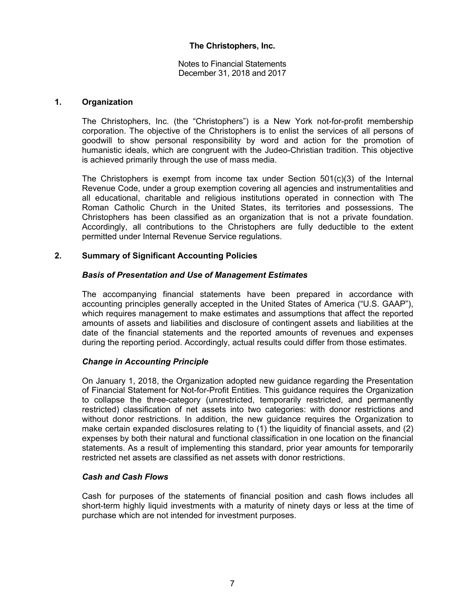Notes to Financial Statements December 31, 2018 and 2017

#### **1. Organization**

The Christophers, Inc. (the "Christophers") is a New York not-for-profit membership corporation. The objective of the Christophers is to enlist the services of all persons of goodwill to show personal responsibility by word and action for the promotion of humanistic ideals, which are congruent with the Judeo-Christian tradition. This objective is achieved primarily through the use of mass media.

The Christophers is exempt from income tax under Section  $501(c)(3)$  of the Internal Revenue Code, under a group exemption covering all agencies and instrumentalities and all educational, charitable and religious institutions operated in connection with The Roman Catholic Church in the United States, its territories and possessions. The Christophers has been classified as an organization that is not a private foundation. Accordingly, all contributions to the Christophers are fully deductible to the extent permitted under Internal Revenue Service regulations.

# **2. Summary of Significant Accounting Policies**

#### *Basis of Presentation and Use of Management Estimates*

The accompanying financial statements have been prepared in accordance with accounting principles generally accepted in the United States of America ("U.S. GAAP"), which requires management to make estimates and assumptions that affect the reported amounts of assets and liabilities and disclosure of contingent assets and liabilities at the date of the financial statements and the reported amounts of revenues and expenses during the reporting period. Accordingly, actual results could differ from those estimates.

# *Change in Accounting Principle*

On January 1, 2018, the Organization adopted new guidance regarding the Presentation of Financial Statement for Not-for-Profit Entities. This guidance requires the Organization to collapse the three-category (unrestricted, temporarily restricted, and permanently restricted) classification of net assets into two categories: with donor restrictions and without donor restrictions. In addition, the new guidance requires the Organization to make certain expanded disclosures relating to (1) the liquidity of financial assets, and (2) expenses by both their natural and functional classification in one location on the financial statements. As a result of implementing this standard, prior year amounts for temporarily restricted net assets are classified as net assets with donor restrictions.

#### *Cash and Cash Flows*

Cash for purposes of the statements of financial position and cash flows includes all short-term highly liquid investments with a maturity of ninety days or less at the time of purchase which are not intended for investment purposes.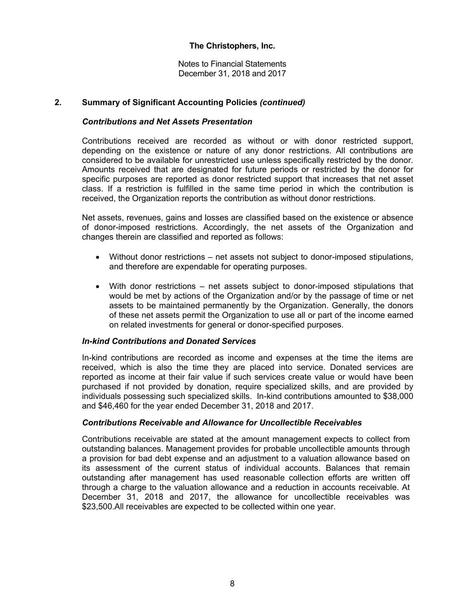Notes to Financial Statements December 31, 2018 and 2017

# **2. Summary of Significant Accounting Policies** *(continued)*

# *Contributions and Net Assets Presentation*

Contributions received are recorded as without or with donor restricted support, depending on the existence or nature of any donor restrictions. All contributions are considered to be available for unrestricted use unless specifically restricted by the donor. Amounts received that are designated for future periods or restricted by the donor for specific purposes are reported as donor restricted support that increases that net asset class. If a restriction is fulfilled in the same time period in which the contribution is received, the Organization reports the contribution as without donor restrictions.

Net assets, revenues, gains and losses are classified based on the existence or absence of donor-imposed restrictions. Accordingly, the net assets of the Organization and changes therein are classified and reported as follows:

- Without donor restrictions net assets not subject to donor-imposed stipulations, and therefore are expendable for operating purposes.
- With donor restrictions net assets subject to donor-imposed stipulations that would be met by actions of the Organization and/or by the passage of time or net assets to be maintained permanently by the Organization. Generally, the donors of these net assets permit the Organization to use all or part of the income earned on related investments for general or donor-specified purposes.

#### *In-kind Contributions and Donated Services*

In-kind contributions are recorded as income and expenses at the time the items are received, which is also the time they are placed into service. Donated services are reported as income at their fair value if such services create value or would have been purchased if not provided by donation, require specialized skills, and are provided by individuals possessing such specialized skills. In-kind contributions amounted to \$38,000 and \$46,460 for the year ended December 31, 2018 and 2017.

#### *Contributions Receivable and Allowance for Uncollectible Receivables*

 Contributions receivable are stated at the amount management expects to collect from outstanding balances. Management provides for probable uncollectible amounts through a provision for bad debt expense and an adjustment to a valuation allowance based on its assessment of the current status of individual accounts. Balances that remain outstanding after management has used reasonable collection efforts are written off through a charge to the valuation allowance and a reduction in accounts receivable. At December 31, 2018 and 2017, the allowance for uncollectible receivables was \$23,500. All receivables are expected to be collected within one year.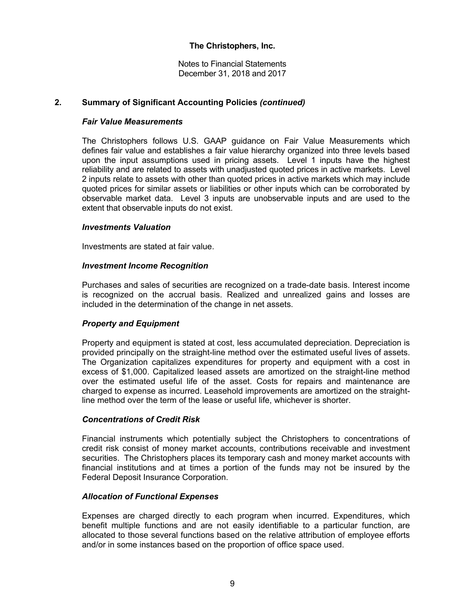Notes to Financial Statements December 31, 2018 and 2017

# **2. Summary of Significant Accounting Policies** *(continued)*

### *Fair Value Measurements*

The Christophers follows U.S. GAAP guidance on Fair Value Measurements which defines fair value and establishes a fair value hierarchy organized into three levels based upon the input assumptions used in pricing assets. Level 1 inputs have the highest reliability and are related to assets with unadjusted quoted prices in active markets. Level 2 inputs relate to assets with other than quoted prices in active markets which may include quoted prices for similar assets or liabilities or other inputs which can be corroborated by observable market data. Level 3 inputs are unobservable inputs and are used to the extent that observable inputs do not exist.

#### *Investments Valuation*

Investments are stated at fair value.

#### *Investment Income Recognition*

Purchases and sales of securities are recognized on a trade-date basis. Interest income is recognized on the accrual basis. Realized and unrealized gains and losses are included in the determination of the change in net assets.

#### *Property and Equipment*

Property and equipment is stated at cost, less accumulated depreciation. Depreciation is provided principally on the straight-line method over the estimated useful lives of assets. The Organization capitalizes expenditures for property and equipment with a cost in excess of \$1,000. Capitalized leased assets are amortized on the straight-line method over the estimated useful life of the asset. Costs for repairs and maintenance are charged to expense as incurred. Leasehold improvements are amortized on the straightline method over the term of the lease or useful life, whichever is shorter.

#### *Concentrations of Credit Risk*

Financial instruments which potentially subject the Christophers to concentrations of credit risk consist of money market accounts, contributions receivable and investment securities. The Christophers places its temporary cash and money market accounts with financial institutions and at times a portion of the funds may not be insured by the Federal Deposit Insurance Corporation.

#### *Allocation of Functional Expenses*

Expenses are charged directly to each program when incurred. Expenditures, which benefit multiple functions and are not easily identifiable to a particular function, are allocated to those several functions based on the relative attribution of employee efforts and/or in some instances based on the proportion of office space used.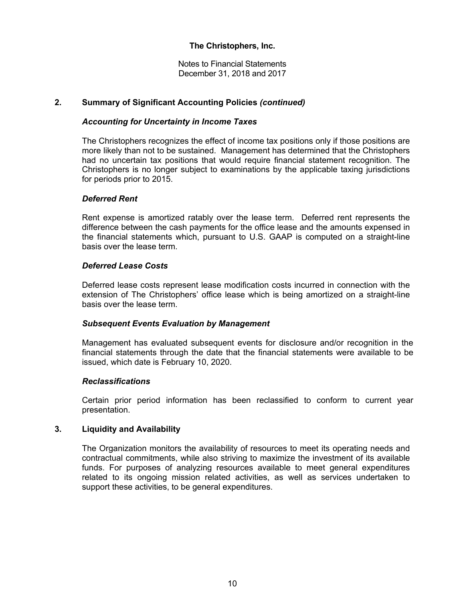Notes to Financial Statements December 31, 2018 and 2017

# **2. Summary of Significant Accounting Policies** *(continued)*

# *Accounting for Uncertainty in Income Taxes*

The Christophers recognizes the effect of income tax positions only if those positions are more likely than not to be sustained. Management has determined that the Christophers had no uncertain tax positions that would require financial statement recognition. The Christophers is no longer subject to examinations by the applicable taxing jurisdictions for periods prior to 2015.

#### *Deferred Rent*

Rent expense is amortized ratably over the lease term. Deferred rent represents the difference between the cash payments for the office lease and the amounts expensed in the financial statements which, pursuant to U.S. GAAP is computed on a straight-line basis over the lease term.

# *Deferred Lease Costs*

Deferred lease costs represent lease modification costs incurred in connection with the extension of The Christophers' office lease which is being amortized on a straight-line basis over the lease term.

#### *Subsequent Events Evaluation by Management*

Management has evaluated subsequent events for disclosure and/or recognition in the financial statements through the date that the financial statements were available to be issued, which date is February 10, 2020.

#### *Reclassifications*

Certain prior period information has been reclassified to conform to current year presentation.

#### **3. Liquidity and Availability**

The Organization monitors the availability of resources to meet its operating needs and contractual commitments, while also striving to maximize the investment of its available funds. For purposes of analyzing resources available to meet general expenditures related to its ongoing mission related activities, as well as services undertaken to support these activities, to be general expenditures.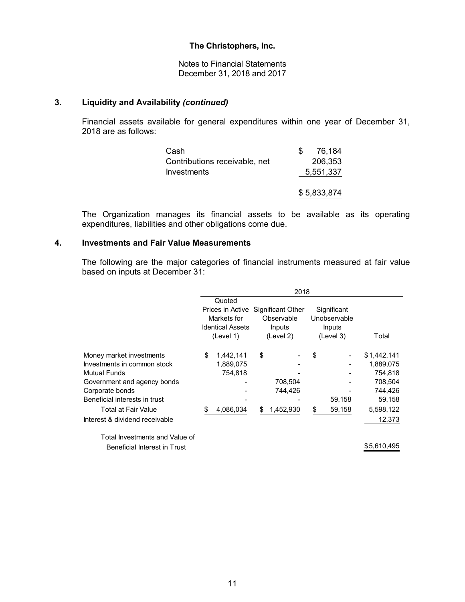Notes to Financial Statements December 31, 2018 and 2017

# **3. Liquidity and Availability** *(continued)*

Financial assets available for general expenditures within one year of December 31, 2018 are as follows:

| Cash                          | 76,184      |
|-------------------------------|-------------|
| Contributions receivable, net | 206,353     |
| Investments                   | 5,551,337   |
|                               | \$5,833,874 |

The Organization manages its financial assets to be available as its operating expenditures, liabilities and other obligations come due.

#### **4. Investments and Fair Value Measurements**

The following are the major categories of financial instruments measured at fair value based on inputs at December 31:

|                                | 2018 |                         |    |                                    |    |               |             |
|--------------------------------|------|-------------------------|----|------------------------------------|----|---------------|-------------|
|                                |      | Quoted                  |    |                                    |    |               |             |
|                                |      |                         |    | Prices in Active Significant Other |    | Significant   |             |
|                                |      | Markets for             |    | Observable                         |    | Unobservable  |             |
|                                |      | <b>Identical Assets</b> |    | <b>Inputs</b>                      |    | <b>Inputs</b> |             |
|                                |      | (Level 1)               |    | (Level 2)                          |    | (Level 3)     | Total       |
| Money market investments       | S    | 1,442,141               | \$ |                                    | \$ |               | \$1,442,141 |
| Investments in common stock    |      | 1,889,075               |    |                                    |    |               | 1,889,075   |
| <b>Mutual Funds</b>            |      | 754,818                 |    |                                    |    |               | 754,818     |
| Government and agency bonds    |      |                         |    | 708,504                            |    |               | 708.504     |
| Corporate bonds                |      |                         |    | 744,426                            |    |               | 744,426     |
| Beneficial interests in trust  |      |                         |    |                                    |    | 59,158        | 59,158      |
| Total at Fair Value            | \$.  | 4,086,034               | \$ | 1,452,930                          | \$ | 59,158        | 5,598,122   |
| Interest & dividend receivable |      |                         |    |                                    |    |               | 12,373      |
| Total Investments and Value of |      |                         |    |                                    |    |               |             |
| Beneficial Interest in Trust   |      |                         |    |                                    |    |               | \$5,610,495 |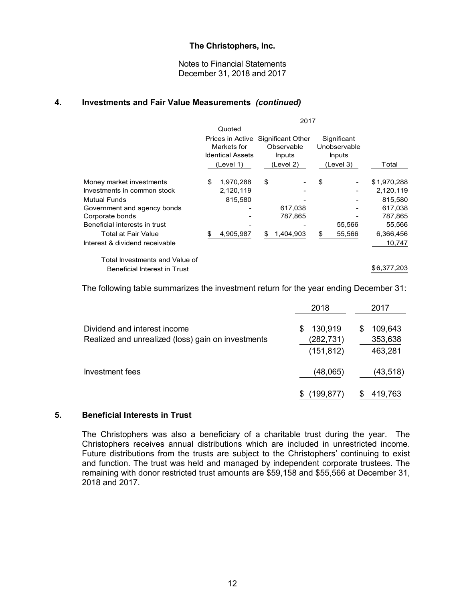Notes to Financial Statements December 31, 2018 and 2017

#### **4. Investments and Fair Value Measurements** *(continued)*

|                                                                                                                                                                                          | 2017 |                                                |          |                                                                   |           |                                       |                                                                                  |
|------------------------------------------------------------------------------------------------------------------------------------------------------------------------------------------|------|------------------------------------------------|----------|-------------------------------------------------------------------|-----------|---------------------------------------|----------------------------------------------------------------------------------|
|                                                                                                                                                                                          |      | Quoted                                         |          |                                                                   |           |                                       |                                                                                  |
|                                                                                                                                                                                          |      | Markets for<br><b>Identical Assets</b>         |          | Prices in Active Significant Other<br>Observable<br><b>Inputs</b> |           | Significant<br>Unobservable<br>Inputs |                                                                                  |
|                                                                                                                                                                                          |      | (Level 1)                                      |          | (Level 2)                                                         |           | (Level 3)                             | Total                                                                            |
| Money market investments<br>Investments in common stock<br><b>Mutual Funds</b><br>Government and agency bonds<br>Corporate bonds<br>Beneficial interests in trust<br>Total at Fair Value | \$   | 1,970,288<br>2,120,119<br>815,580<br>4,905,987 | \$<br>\$ | 617,038<br>787,865<br>1,404,903                                   | \$<br>\$. | 55,566<br>55,566                      | \$1,970,288<br>2,120,119<br>815,580<br>617,038<br>787,865<br>55,566<br>6,366,456 |
| Interest & dividend receivable                                                                                                                                                           |      |                                                |          |                                                                   |           |                                       | 10,747                                                                           |
| Total Investments and Value of<br>Beneficial Interest in Trust                                                                                                                           |      |                                                |          |                                                                   |           |                                       | \$6,377,203                                                                      |

The following table summarizes the investment return for the year ending December 31:

|                                                                                    | 2018                                    | 2017                               |
|------------------------------------------------------------------------------------|-----------------------------------------|------------------------------------|
| Dividend and interest income<br>Realized and unrealized (loss) gain on investments | 130,919<br>S<br>(282,731)<br>(151, 812) | 109,643<br>S<br>353,638<br>463,281 |
| Investment fees                                                                    | (48,065)                                | (43,518)                           |
|                                                                                    | (199,877)<br>S                          | 419,763                            |

### **5. Beneficial Interests in Trust**

The Christophers was also a beneficiary of a charitable trust during the year. The Christophers receives annual distributions which are included in unrestricted income. Future distributions from the trusts are subject to the Christophers' continuing to exist and function. The trust was held and managed by independent corporate trustees. The remaining with donor restricted trust amounts are \$59,158 and \$55,566 at December 31, 2018 and 2017.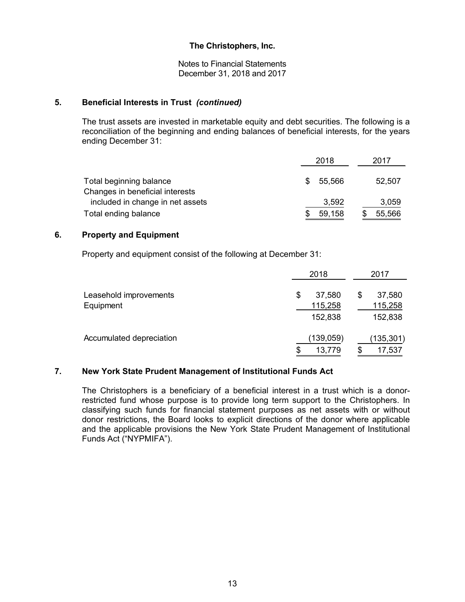Notes to Financial Statements December 31, 2018 and 2017

#### **5. Beneficial Interests in Trust** *(continued)*

The trust assets are invested in marketable equity and debt securities. The following is a reconciliation of the beginning and ending balances of beneficial interests, for the years ending December 31:

|                                  |    | 2018   | 2017 |        |
|----------------------------------|----|--------|------|--------|
| Total beginning balance          | S. | 55,566 |      | 52,507 |
| Changes in beneficial interests  |    |        |      |        |
| included in change in net assets |    | 3,592  |      | 3,059  |
| Total ending balance             |    | 59,158 |      | 55,566 |

# **6. Property and Equipment**

Property and equipment consist of the following at December 31:

|                                     | 2018                               | 2017                               |
|-------------------------------------|------------------------------------|------------------------------------|
| Leasehold improvements<br>Equipment | 37,580<br>\$<br>115,258<br>152,838 | 37,580<br>\$<br>115,258<br>152,838 |
| Accumulated depreciation            | (139,059)<br>\$<br>13,779          | (135,301)<br>\$<br>17,537          |

# **7. New York State Prudent Management of Institutional Funds Act**

The Christophers is a beneficiary of a beneficial interest in a trust which is a donorrestricted fund whose purpose is to provide long term support to the Christophers. In classifying such funds for financial statement purposes as net assets with or without donor restrictions, the Board looks to explicit directions of the donor where applicable and the applicable provisions the New York State Prudent Management of Institutional Funds Act ("NYPMIFA").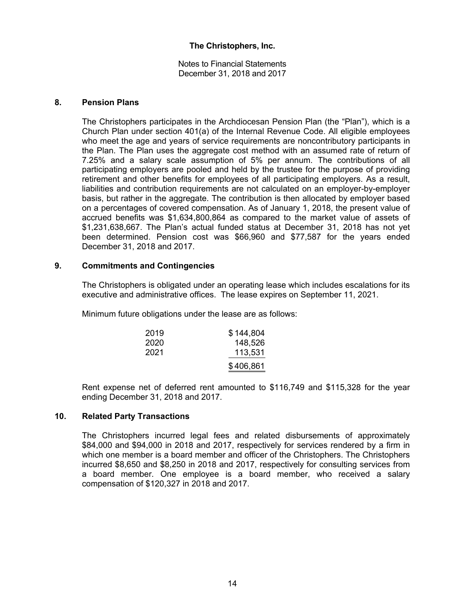Notes to Financial Statements December 31, 2018 and 2017

#### **8. Pension Plans**

The Christophers participates in the Archdiocesan Pension Plan (the "Plan"), which is a Church Plan under section 401(a) of the Internal Revenue Code. All eligible employees who meet the age and years of service requirements are noncontributory participants in the Plan. The Plan uses the aggregate cost method with an assumed rate of return of 7.25% and a salary scale assumption of 5% per annum. The contributions of all participating employers are pooled and held by the trustee for the purpose of providing retirement and other benefits for employees of all participating employers. As a result, liabilities and contribution requirements are not calculated on an employer-by-employer basis, but rather in the aggregate. The contribution is then allocated by employer based on a percentages of covered compensation. As of January 1, 2018, the present value of accrued benefits was \$1,634,800,864 as compared to the market value of assets of \$1,231,638,667. The Plan's actual funded status at December 31, 2018 has not yet been determined. Pension cost was \$66,960 and \$77,587 for the years ended December 31, 2018 and 2017.

# **9. Commitments and Contingencies**

The Christophers is obligated under an operating lease which includes escalations for its executive and administrative offices. The lease expires on September 11, 2021.

Minimum future obligations under the lease are as follows:

| 2019 | \$144,804 |
|------|-----------|
| 2020 | 148,526   |
| 2021 | 113,531   |
|      | \$406,861 |

Rent expense net of deferred rent amounted to \$116,749 and \$115,328 for the year ending December 31, 2018 and 2017.

#### **10. Related Party Transactions**

The Christophers incurred legal fees and related disbursements of approximately \$84,000 and \$94,000 in 2018 and 2017, respectively for services rendered by a firm in which one member is a board member and officer of the Christophers. The Christophers incurred \$8,650 and \$8,250 in 2018 and 2017, respectively for consulting services from a board member. One employee is a board member, who received a salary compensation of \$120,327 in 2018 and 2017.